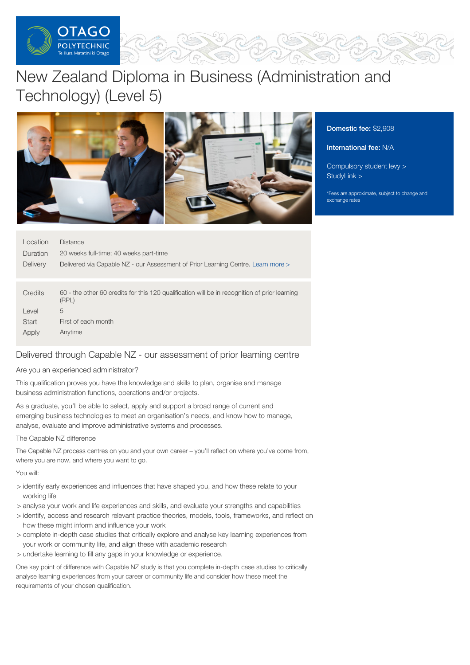

# New Zealand Diploma in Business (Administration and Technology) (Level 5)



Domestic fee: \$2,908

#### International fee: N/A

[Compulsory](https://online.op.ac.nz/students/important-information/student-services-levy/) student levy > [StudyLink](https://www.studylink.govt.nz/) >

\*Fees are approximate, subject to change and exchange rates

| Location        | <b>Distance</b>                                                                                        |
|-----------------|--------------------------------------------------------------------------------------------------------|
| Duration        | 20 weeks full-time; 40 weeks part-time                                                                 |
| <b>Delivery</b> | Delivered via Capable NZ - our Assessment of Prior Learning Centre. Learn more >                       |
|                 |                                                                                                        |
| Credits         | 60 - the other 60 credits for this 120 qualification will be in recognition of prior learning<br>(RPL) |
| Level           | 5                                                                                                      |
| Start           | First of each month                                                                                    |
| Applv           | Anytime                                                                                                |

# Delivered through Capable NZ - our assessment of prior learning centre

#### Are you an experienced administrator?

This qualification proves you have the knowledge and skills to plan, organise and manage business administration functions, operations and/or projects.

As a graduate, you'll be able to select, apply and support a broad range of current and emerging business technologies to meet an organisation's needs, and know how to manage, analyse, evaluate and improve administrative systems and processes.

#### The Capable NZ difference

The Capable NZ process centres on you and your own career – you'll reflect on where you've come from, where you are now, and where you want to go.

#### You will:

- > identify early experiences and influences that have shaped you, and how these relate to your working life
- > analyse your work and life experiences and skills, and evaluate your strengths and capabilities
- > identify, access and research relevant practice theories, models, tools, frameworks, and reflect on how these might inform and influence your work
- > complete in-depth case studies that critically explore and analyse key learning experiences from your work or community life, and align these with academic research
- > undertake learning to fill any gaps in your knowledge or experience.

One key point of difference with Capable NZ study is that you complete in-depth case studies to critically analyse learning experiences from your career or community life and consider how these meet the requirements of your chosen qualification.